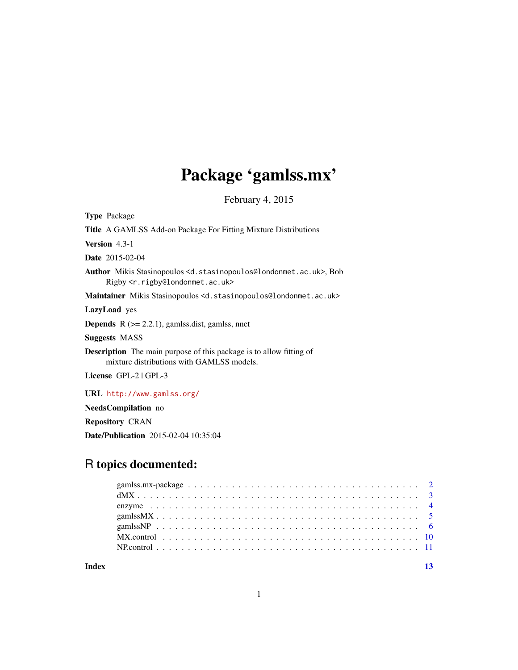# Package 'gamlss.mx'

February 4, 2015

<span id="page-0-0"></span>Type Package Title A GAMLSS Add-on Package For Fitting Mixture Distributions Version 4.3-1 Date 2015-02-04 Author Mikis Stasinopoulos <d.stasinopoulos@londonmet.ac.uk>, Bob Rigby <r.rigby@londonmet.ac.uk> Maintainer Mikis Stasinopoulos <d.stasinopoulos@londonmet.ac.uk> LazyLoad yes **Depends**  $R$  ( $>= 2.2.1$ ), gamlss.dist, gamlss, nnet Suggests MASS Description The main purpose of this package is to allow fitting of mixture distributions with GAMLSS models. License GPL-2 | GPL-3 URL <http://www.gamlss.org/> NeedsCompilation no

Date/Publication 2015-02-04 10:35:04

Repository CRAN

# R topics documented:

**Index** [13](#page-12-0)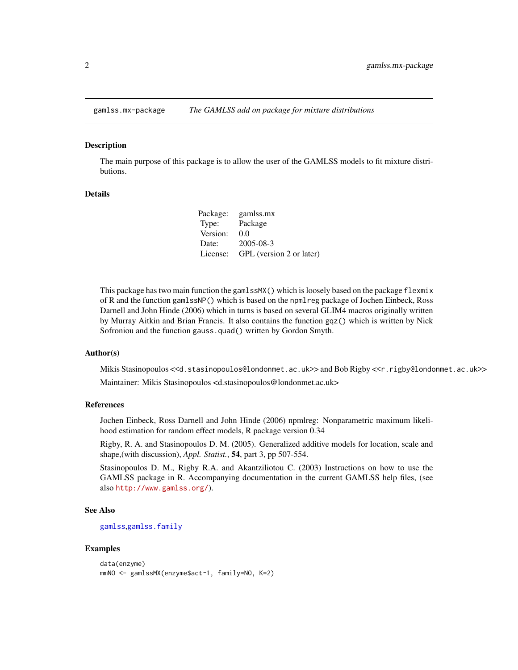<span id="page-1-0"></span>

#### Description

The main purpose of this package is to allow the user of the GAMLSS models to fit mixture distributions.

#### Details

| Package: | gamlss.mx                |
|----------|--------------------------|
| Type:    | Package                  |
| Version: | 0.0                      |
| Date:    | $2005 - 08 - 3$          |
| License: | GPL (version 2 or later) |

This package has two main function the gamlssMX() which is loosely based on the package flexmix of R and the function gamlssNP() which is based on the npmlreg package of Jochen Einbeck, Ross Darnell and John Hinde (2006) which in turns is based on several GLIM4 macros originally written by Murray Aitkin and Brian Francis. It also contains the function gqz() which is written by Nick Sofroniou and the function gauss.quad() written by Gordon Smyth.

#### Author(s)

Mikis Stasinopoulos <<d.stasinopoulos@londonmet.ac.uk>> and Bob Rigby <<r.rigby@londonmet.ac.uk>>

Maintainer: Mikis Stasinopoulos <d.stasinopoulos@londonmet.ac.uk>

#### References

Jochen Einbeck, Ross Darnell and John Hinde (2006) npmlreg: Nonparametric maximum likelihood estimation for random effect models, R package version 0.34

Rigby, R. A. and Stasinopoulos D. M. (2005). Generalized additive models for location, scale and shape,(with discussion), *Appl. Statist.*, 54, part 3, pp 507-554.

Stasinopoulos D. M., Rigby R.A. and Akantziliotou C. (2003) Instructions on how to use the GAMLSS package in R. Accompanying documentation in the current GAMLSS help files, (see also <http://www.gamlss.org/>).

#### See Also

[gamlss](#page-0-0),[gamlss.family](#page-0-0)

#### Examples

```
data(enzyme)
mmNO <- gamlssMX(enzyme$act~1, family=NO, K=2)
```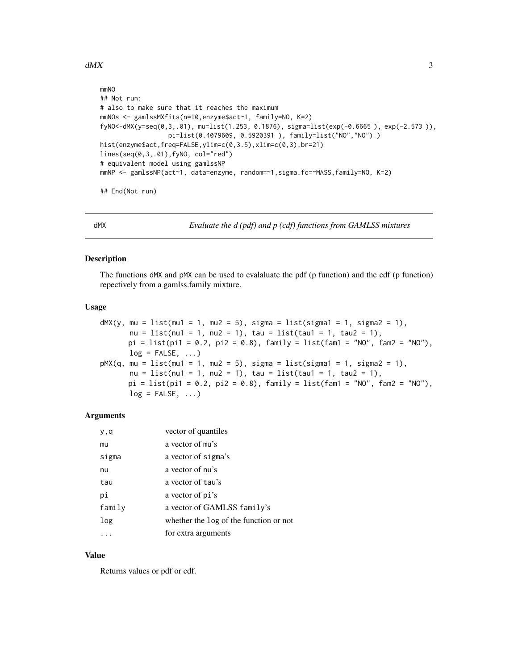```
mmNO
## Not run:
# also to make sure that it reaches the maximum
mmNOs <- gamlssMXfits(n=10,enzyme$act~1, family=NO, K=2)
fyNO<-dMX(y=seq(0,3,.01), mu=list(1.253, 0.1876), sigma=list(exp(-0.6665 ), exp(-2.573 )),
                  pi=list(0.4079609, 0.5920391 ), family=list("NO","NO") )
hist(enzyme$act,freq=FALSE,ylim=c(0,3.5),xlim=c(0,3),br=21)
lines(seq(0,3,.01),fyNO, col="red")
# equivalent model using gamlssNP
mmNP <- gamlssNP(act~1, data=enzyme, random=~1,sigma.fo=~MASS,family=NO, K=2)
## End(Not run)
```
dMX *Evaluate the d (pdf) and p (cdf) functions from GAMLSS mixtures*

#### Description

The functions dMX and pMX can be used to evalaluate the pdf (p function) and the cdf (p function) repectively from a gamlss.family mixture.

#### Usage

```
dMX(y, mu = list(mu1 = 1, mu2 = 5), sigma = list(sigma1 = 1, sigma2 = 1),nu = list(nu1 = 1, nu2 = 1), tau = list(tau1 = 1, tau2 = 1),
      pi = list(pi1 = 0.2, pi2 = 0.8), family = list(fam1 = "NO", fam2 = "NO"),log = FALSE, ...)pMX(q, mu = list(mu1 = 1, mu2 = 5), sigma = list(sigma1 = 1, sigma2 = 1),nu = list(nu1 = 1, nu2 = 1), tau = list(tau1 = 1, tau2 = 1),pi = list(pi1 = 0.2, pi2 = 0.8), family = list(fam1 = "NO", fam2 = "NO"),log = FALSE, ...)
```
#### Arguments

| y,q    | vector of quantiles                    |
|--------|----------------------------------------|
| mu     | a vector of mu's                       |
| sigma  | a vector of sigma's                    |
| nu     | a vector of nu's                       |
| tau    | a vector of tau's                      |
| рi     | a vector of pi's                       |
| family | a vector of GAMLSS family's            |
| log    | whether the log of the function or not |
|        | for extra arguments                    |

#### Value

Returns values or pdf or cdf.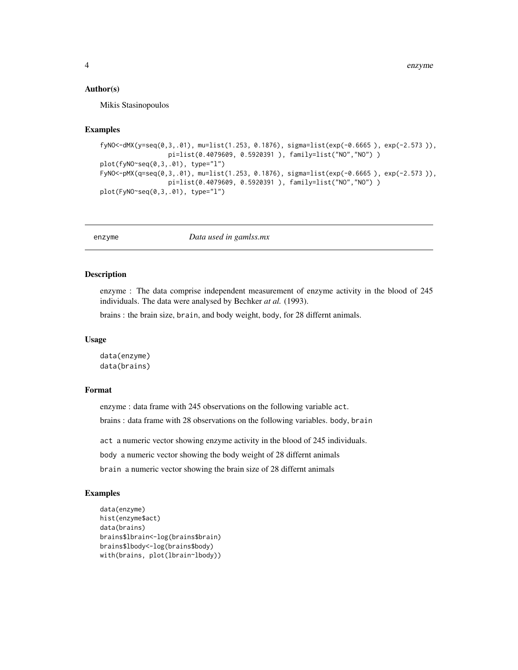#### <span id="page-3-0"></span>Author(s)

Mikis Stasinopoulos

#### Examples

```
fyNO<-dMX(y=seq(0,3,.01), mu=list(1.253, 0.1876), sigma=list(exp(-0.6665 ), exp(-2.573 )),
                  pi=list(0.4079609, 0.5920391 ), family=list("NO","NO") )
plot(fyNO~seq(0,3,.01), type="l")
FyNO<-pMX(q=seq(0,3,.01), mu=list(1.253, 0.1876), sigma=list(exp(-0.6665 ), exp(-2.573 )),
                  pi=list(0.4079609, 0.5920391 ), family=list("NO","NO") )
plot(FyNO~seq(0,3,.01), type="l")
```
enzyme *Data used in gamlss.mx*

# Description

enzyme : The data comprise independent measurement of enzyme activity in the blood of 245 individuals. The data were analysed by Bechker *at al.* (1993).

brains : the brain size, brain, and body weight, body, for 28 differnt animals.

#### Usage

data(enzyme) data(brains)

### Format

enzyme : data frame with 245 observations on the following variable act. brains : data frame with 28 observations on the following variables. body, brain

act a numeric vector showing enzyme activity in the blood of 245 individuals.

body a numeric vector showing the body weight of 28 differnt animals

brain a numeric vector showing the brain size of 28 differnt animals

#### Examples

```
data(enzyme)
hist(enzyme$act)
data(brains)
brains$lbrain<-log(brains$brain)
brains$lbody<-log(brains$body)
with(brains, plot(lbrain~lbody))
```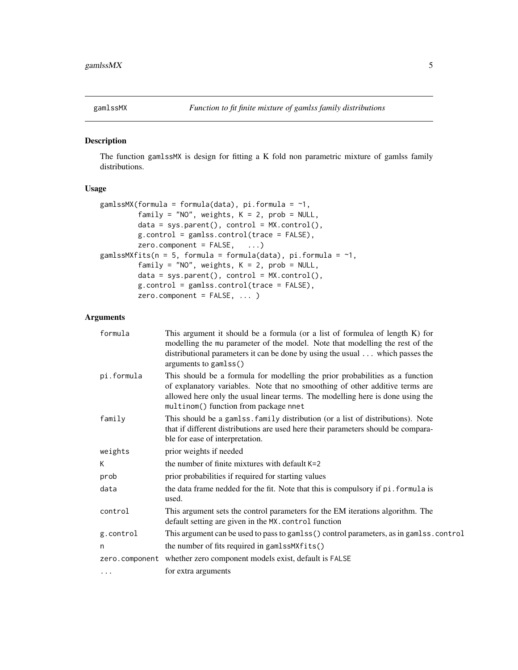<span id="page-4-1"></span><span id="page-4-0"></span>

# <span id="page-4-2"></span>Description

The function gamlssMX is design for fitting a K fold non parametric mixture of gamlss family distributions.

#### Usage

```
gamlssMX(formula = formula(data), pi.formula = \sim1,
         family = "NO", weights, K = 2, prob = NULL,
         data = sys.parent(), control = MX.control(),
         g.control = gamlss.control(trace = FALSE),
         zero. component = FALSE, ...gamlssMXfits(n = 5, formula = formula(data), pi.formula = \sim 1,
         family = "NO", weights, K = 2, prob = NULL,
         data = sys.parent(), control = MX.control(),
         g.control = gamlss.control(trace = FALSE),
        zero.component = FALSE, ... )
```
### Arguments

| formula    | This argument it should be a formula (or a list of formulea of length K) for<br>modelling the mu parameter of the model. Note that modelling the rest of the<br>distributional parameters it can be done by using the usual  which passes the<br>arguments to gamlss()                  |
|------------|-----------------------------------------------------------------------------------------------------------------------------------------------------------------------------------------------------------------------------------------------------------------------------------------|
| pi.formula | This should be a formula for modelling the prior probabilities as a function<br>of explanatory variables. Note that no smoothing of other additive terms are<br>allowed here only the usual linear terms. The modelling here is done using the<br>multinom() function from package nnet |
| family     | This should be a gamlss. family distribution (or a list of distributions). Note<br>that if different distributions are used here their parameters should be compara-<br>ble for ease of interpretation.                                                                                 |
| weights    | prior weights if needed                                                                                                                                                                                                                                                                 |
| К          | the number of finite mixtures with default $K=2$                                                                                                                                                                                                                                        |
| prob       | prior probabilities if required for starting values                                                                                                                                                                                                                                     |
| data       | the data frame nedded for the fit. Note that this is compulsory if pi. formula is<br>used.                                                                                                                                                                                              |
| control    | This argument sets the control parameters for the EM iterations algorithm. The<br>default setting are given in the MX. control function                                                                                                                                                 |
| g.control  | This argument can be used to pass to gamlss() control parameters, as in gamlss.control                                                                                                                                                                                                  |
| n          | the number of fits required in gamlssMXfits()                                                                                                                                                                                                                                           |
|            | zero.component whether zero component models exist, default is FALSE                                                                                                                                                                                                                    |
| $\cdots$   | for extra arguments                                                                                                                                                                                                                                                                     |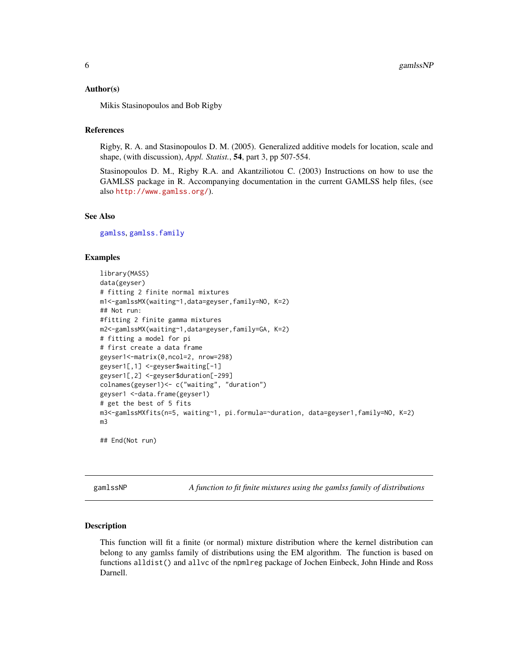#### <span id="page-5-0"></span>Author(s)

Mikis Stasinopoulos and Bob Rigby

# References

Rigby, R. A. and Stasinopoulos D. M. (2005). Generalized additive models for location, scale and shape, (with discussion), *Appl. Statist.*, 54, part 3, pp 507-554.

Stasinopoulos D. M., Rigby R.A. and Akantziliotou C. (2003) Instructions on how to use the GAMLSS package in R. Accompanying documentation in the current GAMLSS help files, (see also <http://www.gamlss.org/>).

#### See Also

[gamlss](#page-0-0), [gamlss.family](#page-0-0)

#### Examples

```
library(MASS)
data(geyser)
# fitting 2 finite normal mixtures
m1<-gamlssMX(waiting~1,data=geyser,family=NO, K=2)
## Not run:
#fitting 2 finite gamma mixtures
m2<-gamlssMX(waiting~1,data=geyser,family=GA, K=2)
# fitting a model for pi
# first create a data frame
geyser1<-matrix(0,ncol=2, nrow=298)
geyser1[,1] <-geyser$waiting[-1]
geyser1[,2] <-geyser$duration[-299]
colnames(geyser1)<- c("waiting", "duration")
geyser1 <-data.frame(geyser1)
# get the best of 5 fits
m3<-gamlssMXfits(n=5, waiting~1, pi.formula=~duration, data=geyser1,family=NO, K=2)
m3
```
## End(Not run)

<span id="page-5-1"></span>gamlssNP *A function to fit finite mixtures using the gamlss family of distributions*

#### Description

This function will fit a finite (or normal) mixture distribution where the kernel distribution can belong to any gamlss family of distributions using the EM algorithm. The function is based on functions alldist() and allvc of the npmlreg package of Jochen Einbeck, John Hinde and Ross Darnell.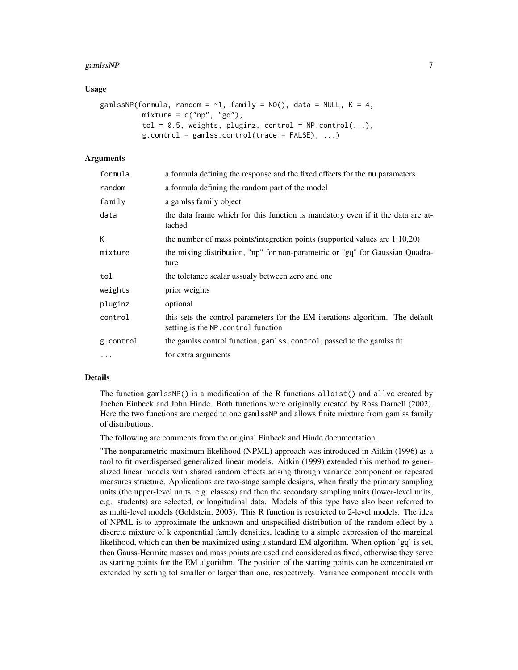#### gamlss $NP$   $7$

#### Usage

```
gamlssNP(formula, random = \sim1, family = NO(), data = NULL, K = 4,
          mixture = c("np", "gq"),
          tol = 0.5, weights, pluginz, control = NP.contrib(...),g.control = gamlss.control(trace = FALSE), ...
```
# Arguments

| formula   | a formula defining the response and the fixed effects for the mu parameters                                          |
|-----------|----------------------------------------------------------------------------------------------------------------------|
| random    | a formula defining the random part of the model                                                                      |
| family    | a gamlss family object                                                                                               |
| data      | the data frame which for this function is mandatory even if it the data are at-<br>tached                            |
| K         | the number of mass points/integretion points (supported values are 1:10,20)                                          |
| mixture   | the mixing distribution, "np" for non-parametric or "gq" for Gaussian Quadra-<br>ture                                |
| tol       | the toletance scalar ussualy between zero and one                                                                    |
| weights   | prior weights                                                                                                        |
| pluginz   | optional                                                                                                             |
| control   | this sets the control parameters for the EM iterations algorithm. The default<br>setting is the NP. control function |
| g.control | the gamlss control function, gamlss.control, passed to the gamlss fit                                                |
| $\cdots$  | for extra arguments                                                                                                  |

# Details

The function gamlssNP() is a modification of the R functions alldist() and allvc created by Jochen Einbeck and John Hinde. Both functions were originally created by Ross Darnell (2002). Here the two functions are merged to one gamlssNP and allows finite mixture from gamlss family of distributions.

The following are comments from the original Einbeck and Hinde documentation.

"The nonparametric maximum likelihood (NPML) approach was introduced in Aitkin (1996) as a tool to fit overdispersed generalized linear models. Aitkin (1999) extended this method to generalized linear models with shared random effects arising through variance component or repeated measures structure. Applications are two-stage sample designs, when firstly the primary sampling units (the upper-level units, e.g. classes) and then the secondary sampling units (lower-level units, e.g. students) are selected, or longitudinal data. Models of this type have also been referred to as multi-level models (Goldstein, 2003). This R function is restricted to 2-level models. The idea of NPML is to approximate the unknown and unspecified distribution of the random effect by a discrete mixture of k exponential family densities, leading to a simple expression of the marginal likelihood, which can then be maximized using a standard EM algorithm. When option 'gq' is set, then Gauss-Hermite masses and mass points are used and considered as fixed, otherwise they serve as starting points for the EM algorithm. The position of the starting points can be concentrated or extended by setting tol smaller or larger than one, respectively. Variance component models with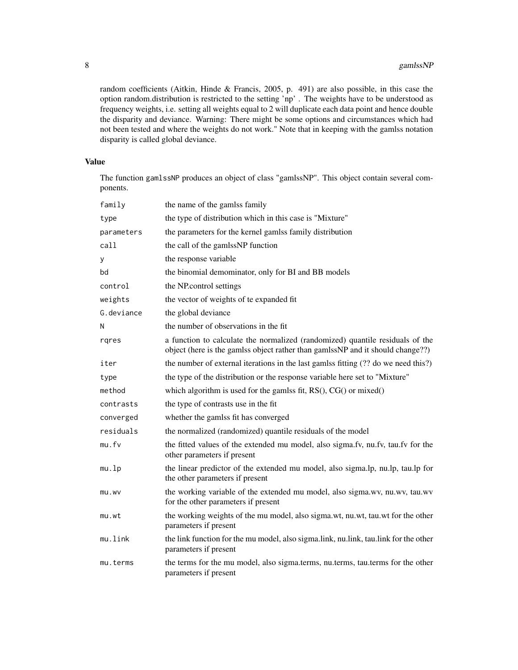random coefficients (Aitkin, Hinde & Francis, 2005, p. 491) are also possible, in this case the option random.distribution is restricted to the setting 'np' . The weights have to be understood as frequency weights, i.e. setting all weights equal to 2 will duplicate each data point and hence double the disparity and deviance. Warning: There might be some options and circumstances which had not been tested and where the weights do not work." Note that in keeping with the gamlss notation disparity is called global deviance.

# Value

The function gamlssNP produces an object of class "gamlssNP". This object contain several components.

| family     | the name of the gamlss family                                                                                                                                   |
|------------|-----------------------------------------------------------------------------------------------------------------------------------------------------------------|
| type       | the type of distribution which in this case is "Mixture"                                                                                                        |
| parameters | the parameters for the kernel gamlss family distribution                                                                                                        |
| call       | the call of the gamlssNP function                                                                                                                               |
| у          | the response variable                                                                                                                                           |
| bd         | the binomial demominator, only for BI and BB models                                                                                                             |
| control    | the NP.control settings                                                                                                                                         |
| weights    | the vector of weights of te expanded fit                                                                                                                        |
| G.deviance | the global deviance                                                                                                                                             |
| N          | the number of observations in the fit                                                                                                                           |
| rqres      | a function to calculate the normalized (randomized) quantile residuals of the<br>object (here is the gamlss object rather than gamlssNP and it should change??) |
| iter       | the number of external iterations in the last gamlss fitting (?? do we need this?)                                                                              |
| type       | the type of the distribution or the response variable here set to "Mixture"                                                                                     |
| method     | which algorithm is used for the gamlss fit, $RS()$ , $CG()$ or mixed $()$                                                                                       |
| contrasts  | the type of contrasts use in the fit                                                                                                                            |
| converged  | whether the gamlss fit has converged                                                                                                                            |
| residuals  | the normalized (randomized) quantile residuals of the model                                                                                                     |
| mu.fv      | the fitted values of the extended mu model, also sigma.fv, nu.fv, tau.fv for the<br>other parameters if present                                                 |
| mu.lp      | the linear predictor of the extended mu model, also sigma.lp, nu.lp, tau.lp for<br>the other parameters if present                                              |
| mu.wv      | the working variable of the extended mu model, also sigma.wv, nu.wv, tau.wv<br>for the other parameters if present                                              |
| mu.wt      | the working weights of the mu model, also sigma.wt, nu.wt, tau.wt for the other<br>parameters if present                                                        |
| mu.link    | the link function for the mu model, also sigma.link, nu.link, tau.link for the other<br>parameters if present                                                   |
| mu.terms   | the terms for the mu model, also sigma.terms, nu.terms, tau.terms for the other<br>parameters if present                                                        |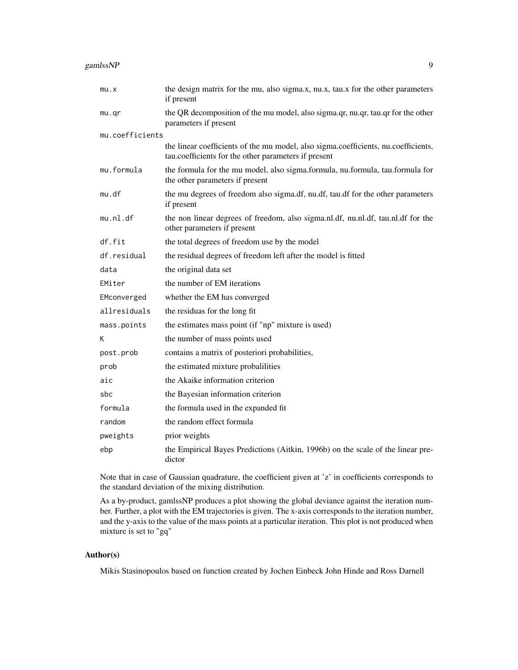| mu.x            | the design matrix for the mu, also sigma.x, nu.x, tau.x for the other parameters<br>if present                                             |
|-----------------|--------------------------------------------------------------------------------------------------------------------------------------------|
| mu.qr           | the QR decomposition of the mu model, also sigma.qr, nu.qr, tau.qr for the other<br>parameters if present                                  |
| mu.coefficients |                                                                                                                                            |
|                 | the linear coefficients of the mu model, also sigma.coefficients, nu.coefficients,<br>tau.coefficients for the other parameters if present |
| mu.formula      | the formula for the mu model, also sigma.formula, nu.formula, tau.formula for<br>the other parameters if present                           |
| mu.df           | the mu degrees of freedom also sigma.df, nu.df, tau.df for the other parameters<br>if present                                              |
| mu.n1.df        | the non linear degrees of freedom, also sigma.nl.df, nu.nl.df, tau.nl.df for the<br>other parameters if present                            |
| df.fit          | the total degrees of freedom use by the model                                                                                              |
| df.residual     | the residual degrees of freedom left after the model is fitted                                                                             |
| data            | the original data set                                                                                                                      |
| EMiter          | the number of EM iterations                                                                                                                |
| EMconverged     | whether the EM has converged                                                                                                               |
| allresiduals    | the residuas for the long fit                                                                                                              |
| mass.points     | the estimates mass point (if "np" mixture is used)                                                                                         |
| Κ               | the number of mass points used                                                                                                             |
| post.prob       | contains a matrix of posteriori probabilities,                                                                                             |
| prob            | the estimated mixture probalilities                                                                                                        |
| aic             | the Akaike information criterion                                                                                                           |
| sbc             | the Bayesian information criterion                                                                                                         |
| formula         | the formula used in the expanded fit                                                                                                       |
| random          | the random effect formula                                                                                                                  |
| pweights        | prior weights                                                                                                                              |
| ebp             | the Empirical Bayes Predictions (Aitkin, 1996b) on the scale of the linear pre-<br>dictor                                                  |

Note that in case of Gaussian quadrature, the coefficient given at 'z' in coefficients corresponds to the standard deviation of the mixing distribution.

As a by-product, gamlssNP produces a plot showing the global deviance against the iteration number. Further, a plot with the EM trajectories is given. The x-axis corresponds to the iteration number, and the y-axis to the value of the mass points at a particular iteration. This plot is not produced when mixture is set to "gq"

# Author(s)

Mikis Stasinopoulos based on function created by Jochen Einbeck John Hinde and Ross Darnell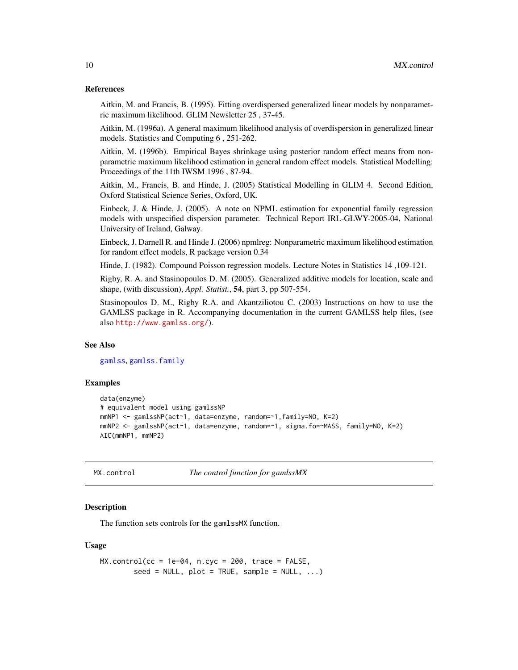#### References

Aitkin, M. and Francis, B. (1995). Fitting overdispersed generalized linear models by nonparametric maximum likelihood. GLIM Newsletter 25 , 37-45.

Aitkin, M. (1996a). A general maximum likelihood analysis of overdispersion in generalized linear models. Statistics and Computing 6 , 251-262.

Aitkin, M. (1996b). Empirical Bayes shrinkage using posterior random effect means from nonparametric maximum likelihood estimation in general random effect models. Statistical Modelling: Proceedings of the 11th IWSM 1996 , 87-94.

Aitkin, M., Francis, B. and Hinde, J. (2005) Statistical Modelling in GLIM 4. Second Edition, Oxford Statistical Science Series, Oxford, UK.

Einbeck, J. & Hinde, J. (2005). A note on NPML estimation for exponential family regression models with unspecified dispersion parameter. Technical Report IRL-GLWY-2005-04, National University of Ireland, Galway.

Einbeck, J. Darnell R. and Hinde J. (2006) npmlreg: Nonparametric maximum likelihood estimation for random effect models, R package version 0.34

Hinde, J. (1982). Compound Poisson regression models. Lecture Notes in Statistics 14 ,109-121.

Rigby, R. A. and Stasinopoulos D. M. (2005). Generalized additive models for location, scale and shape, (with discussion), *Appl. Statist.*, 54, part 3, pp 507-554.

Stasinopoulos D. M., Rigby R.A. and Akantziliotou C. (2003) Instructions on how to use the GAMLSS package in R. Accompanying documentation in the current GAMLSS help files, (see also <http://www.gamlss.org/>).

# See Also

[gamlss](#page-0-0), [gamlss.family](#page-0-0)

#### Examples

```
data(enzyme)
# equivalent model using gamlssNP
mmNP1 <- gamlssNP(act~1, data=enzyme, random=~1,family=NO, K=2)
mmNP2 <- gamlssNP(act~1, data=enzyme, random=~1, sigma.fo=~MASS, family=NO, K=2)
AIC(mmNP1, mmNP2)
```

```
MX.control The control function for gamlssMX
```
### **Description**

The function sets controls for the gamlssMX function.

#### Usage

```
MX.control(cc = 1e-04, n.cyc = 200, trace = FALSE,seed = NULL, plot = TRUE, sample = NULL, ...)
```
<span id="page-9-0"></span>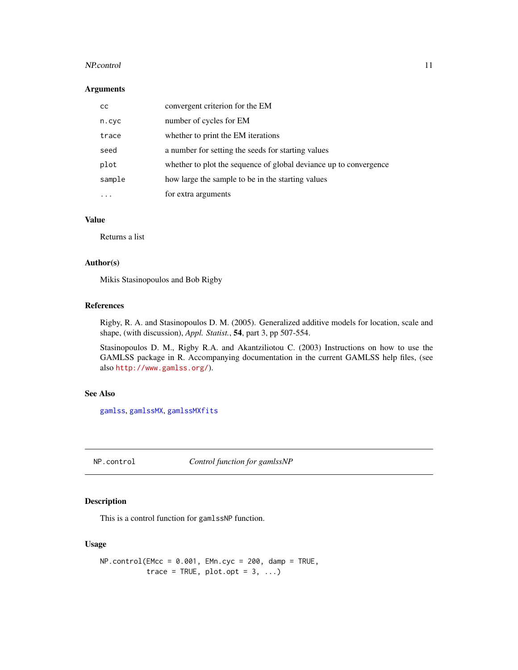#### <span id="page-10-0"></span>NP.control 11

#### Arguments

| CC.    | convergent criterion for the EM                                   |
|--------|-------------------------------------------------------------------|
| n.cyc  | number of cycles for EM                                           |
| trace  | whether to print the EM iterations                                |
| seed   | a number for setting the seeds for starting values                |
| plot   | whether to plot the sequence of global deviance up to convergence |
| sample | how large the sample to be in the starting values                 |
|        | for extra arguments                                               |

# Value

Returns a list

#### Author(s)

Mikis Stasinopoulos and Bob Rigby

#### References

Rigby, R. A. and Stasinopoulos D. M. (2005). Generalized additive models for location, scale and shape, (with discussion), *Appl. Statist.*, 54, part 3, pp 507-554.

Stasinopoulos D. M., Rigby R.A. and Akantziliotou C. (2003) Instructions on how to use the GAMLSS package in R. Accompanying documentation in the current GAMLSS help files, (see also <http://www.gamlss.org/>).

# See Also

[gamlss](#page-0-0), [gamlssMX](#page-4-1), [gamlssMXfits](#page-4-2)

NP.control *Control function for gamlssNP*

# Description

This is a control function for gamlssNP function.

# Usage

```
NP.control(EMcc = 0.001, EMn.cyc = 200, dam = TRUE,trace = TRUE, plot.opt = 3, ...
```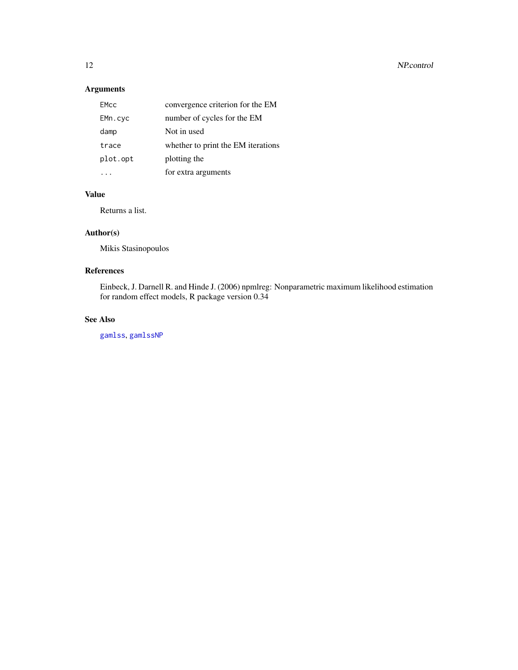# <span id="page-11-0"></span>Arguments

| <b>EMcc</b> | convergence criterion for the EM   |
|-------------|------------------------------------|
| EMn.cyc     | number of cycles for the EM        |
| damp        | Not in used                        |
| trace       | whether to print the EM iterations |
| plot.opt    | plotting the                       |
|             | for extra arguments                |

# Value

Returns a list.

# Author(s)

Mikis Stasinopoulos

# References

Einbeck, J. Darnell R. and Hinde J. (2006) npmlreg: Nonparametric maximum likelihood estimation for random effect models, R package version 0.34

# See Also

[gamlss](#page-0-0), [gamlssNP](#page-5-1)